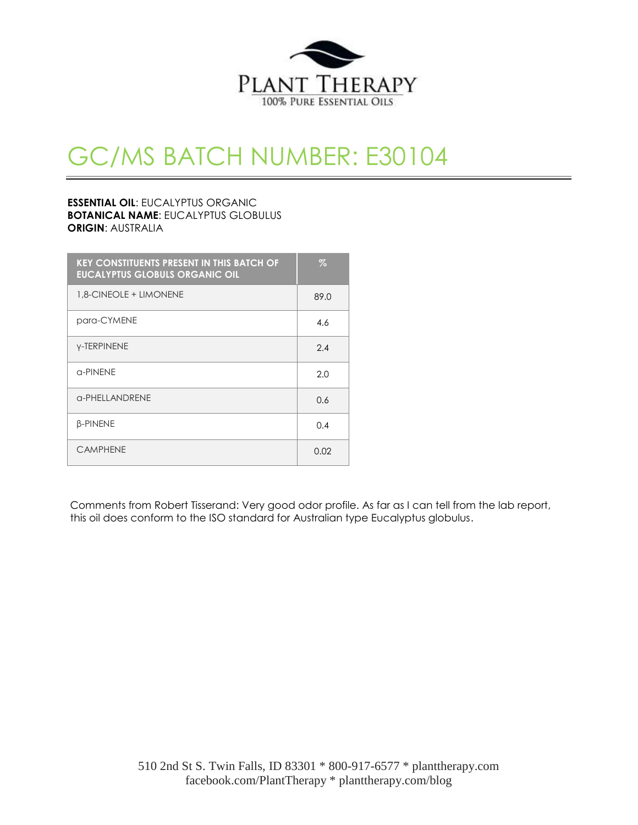

# GC/MS BATCH NUMBER: E30104

### **ESSENTIAL OIL**: EUCALYPTUS ORGANIC **BOTANICAL NAME**: EUCALYPTUS GLOBULUS **ORIGIN**: AUSTRALIA

| <b>KEY CONSTITUENTS PRESENT IN THIS BATCH OF</b><br><b>EUCALYPTUS GLOBULS ORGANIC OIL</b> | $\%$ |
|-------------------------------------------------------------------------------------------|------|
| 1.8-CINEOLE + LIMONENE                                                                    | 89.0 |
| para-CYMENE                                                                               | 4.6  |
| <b>Y-TERPINENE</b>                                                                        | 2.4  |
| $\alpha$ -PINFNF                                                                          | 2.0  |
| <b>G-PHELLANDRENE</b>                                                                     | 0.6  |
| <b>B-PINENE</b>                                                                           | 0.4  |
| <b>CAMPHENE</b>                                                                           | 0.02 |

Comments from Robert Tisserand: Very good odor profile. As far as I can tell from the lab report, this oil does conform to the ISO standard for Australian type Eucalyptus globulus.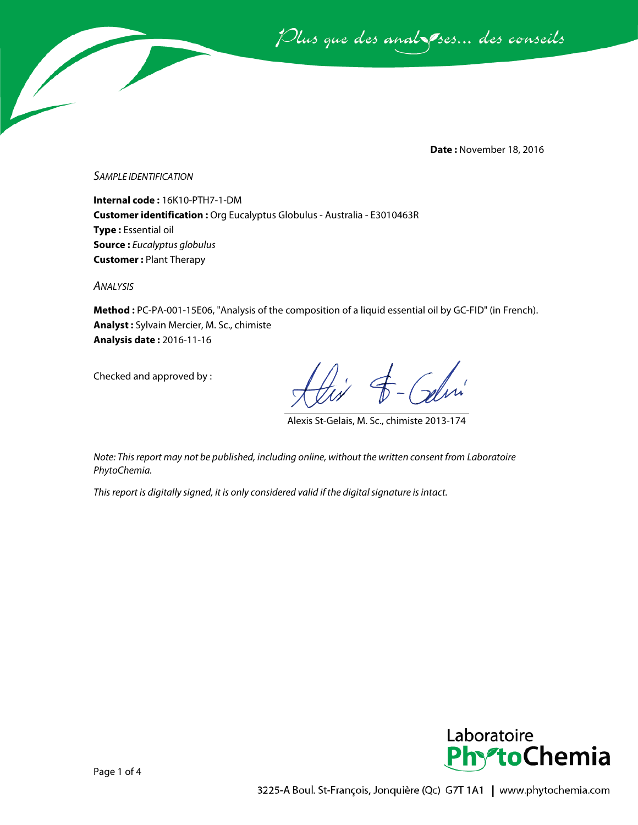Plus que des analsses... des conseils

**Date :** November 18, 2016

*SAMPLE IDENTIFICATION*

**Internal code :** 16K10-PTH7-1-DM **Customer identification :** Org Eucalyptus Globulus - Australia - E3010463R **Type :** Essential oil **Source :** *Eucalyptus globulus* **Customer :** Plant Therapy

*ANALYSIS*

**Method :** PC-PA-001-15E06, "Analysis of the composition of a liquid essential oil by GC-FID" (in French). **Analyst :** Sylvain Mercier, M. Sc., chimiste **Analysis date :** 2016-11-16

Checked and approved by :

t - Celvi

Alexis St-Gelais, M. Sc., chimiste 2013-174

*Note: This report may not be published, including online, without the written consent from Laboratoire PhytoChemia.*

*This report is digitally signed, it is only considered valid if the digital signature is intact.*

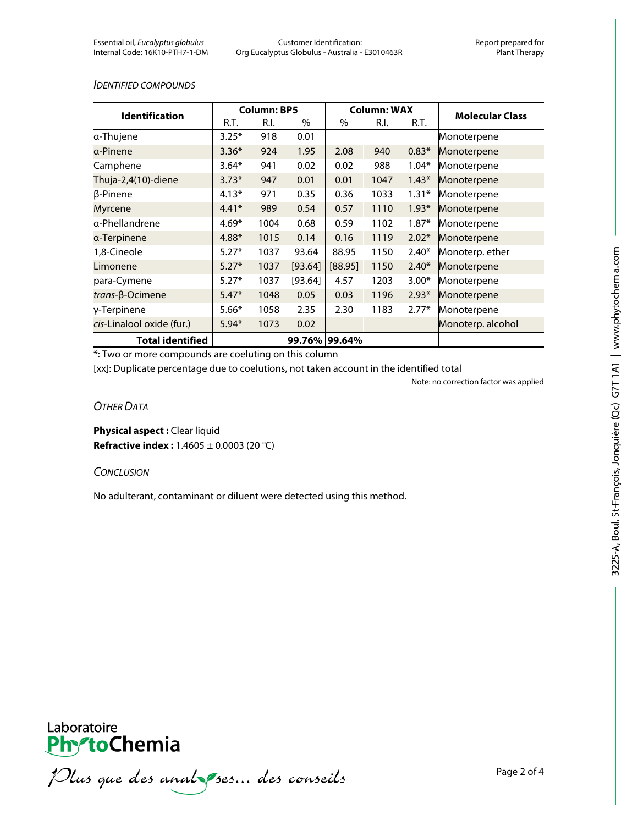#### *IDENTIFIED COMPOUNDS*

| <b>Identification</b>     | <b>Column: BP5</b> |      |         | <b>Column: WAX</b> |      |         |                        |
|---------------------------|--------------------|------|---------|--------------------|------|---------|------------------------|
|                           | R.T.               | R.I. | $\%$    | $\%$               | R.I. | R.T.    | <b>Molecular Class</b> |
| a-Thujene                 | $3.25*$            | 918  | 0.01    |                    |      |         | Monoterpene            |
| α-Pinene                  | $3.36*$            | 924  | 1.95    | 2.08               | 940  | $0.83*$ | Monoterpene            |
| Camphene                  | $3.64*$            | 941  | 0.02    | 0.02               | 988  | $1.04*$ | Monoterpene            |
| Thuja-2,4(10)-diene       | $3.73*$            | 947  | 0.01    | 0.01               | 1047 | $1.43*$ | Monoterpene            |
| β-Pinene                  | $4.13*$            | 971  | 0.35    | 0.36               | 1033 | $1.31*$ | Monoterpene            |
| Myrcene                   | $4.41*$            | 989  | 0.54    | 0.57               | 1110 | $1.93*$ | Monoterpene            |
| a-Phellandrene            | $4.69*$            | 1004 | 0.68    | 0.59               | 1102 | $1.87*$ | Monoterpene            |
| α-Terpinene               | $4.88*$            | 1015 | 0.14    | 0.16               | 1119 | $2.02*$ | Monoterpene            |
| 1,8-Cineole               | $5.27*$            | 1037 | 93.64   | 88.95              | 1150 | $2.40*$ | Monoterp. ether        |
| Limonene                  | $5.27*$            | 1037 | [93.64] | [88.95]            | 1150 | $2.40*$ | Monoterpene            |
| para-Cymene               | $5.27*$            | 1037 | [93.64] | 4.57               | 1203 | $3.00*$ | Monoterpene            |
| trans-β-Ocimene           | $5.47*$            | 1048 | 0.05    | 0.03               | 1196 | $2.93*$ | Monoterpene            |
| γ-Terpinene               | $5.66*$            | 1058 | 2.35    | 2.30               | 1183 | $2.77*$ | Monoterpene            |
| cis-Linalool oxide (fur.) | $5.94*$            | 1073 | 0.02    |                    |      |         | Monoterp. alcohol      |
| <b>Total identified</b>   |                    |      |         | 99.76% 99.64%      |      |         |                        |

\*: Two or more compounds are coeluting on this column

[xx]: Duplicate percentage due to coelutions, not taken account in the identified total

Note: no correction factor was applied

## *OTHER DATA*

**Physical aspect : Clear liquid Refractive index :** 1.4605 ± 0.0003 (20 °C)

#### *CONCLUSION*

No adulterant, contaminant or diluent were detected using this method.



Plus que des analzes... des conseils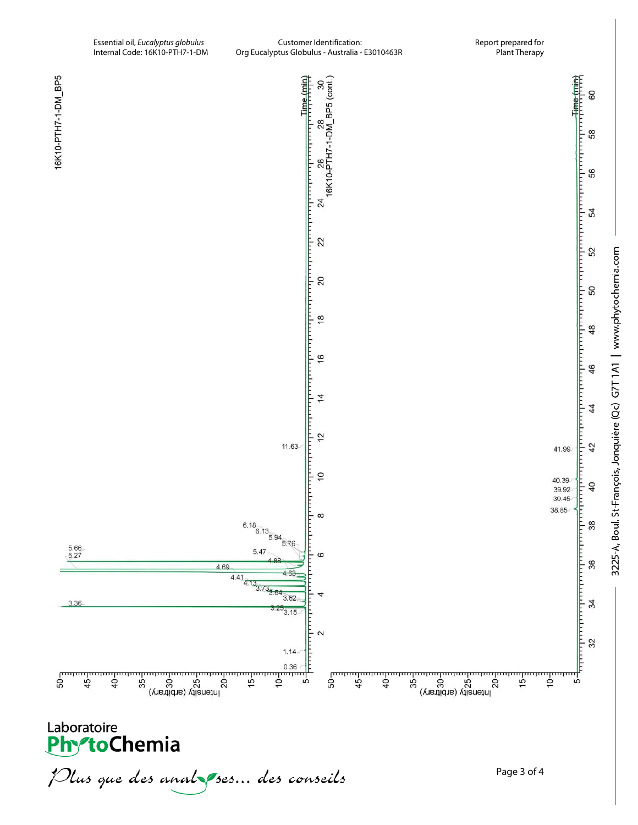

Plus que des analzessus des conseils

3225-A, Boul. St-François, Jonquière (Qc) G7T1A1 | www.phytochemia.com